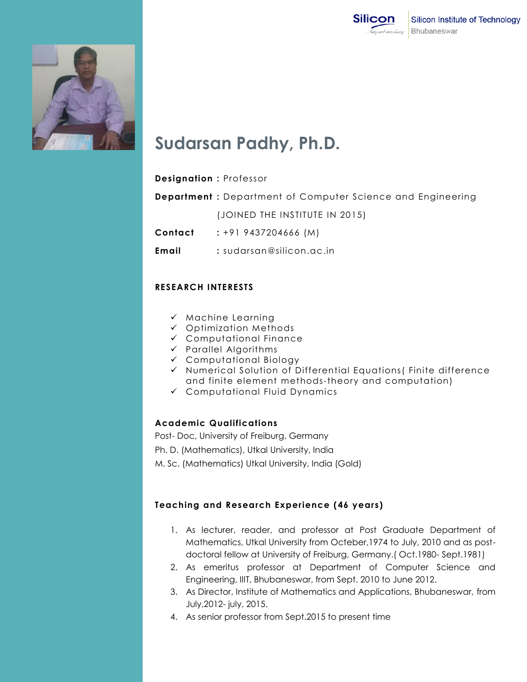



# **Sudarsan Padhy, Ph.D.**

# **Designation :** Professor

**Department :** Department of Computer Science and Engineering

(JOINED THE INSTITUTE IN 2015)

**Contact :** +91 9437204666 (M)

**Email :** sudarsan@silicon.ac.in

# **RESEARCH INTERESTS**

- $\times$  Machine Learning
- $\checkmark$  Optimization Methods
- Computational Finance
- $\checkmark$  Parallel Algorithms
- Computational Biology
- $\checkmark$  Numerical Solution of Differential Equations (Finite difference and finite element methods-theory and computation)
- Computational Fluid Dynamics

# **Academic Qualifications**

Post- Doc, University of Freiburg, Germany

Ph. D. (Mathematics), Utkal University, India

M. Sc. (Mathematics) Utkal University, India (Gold)

# **Teaching and Research Experience (46 years)**

- 1. As lecturer, reader, and professor at Post Graduate Department of Mathematics, Utkal University from Octeber,1974 to July, 2010 and as postdoctoral fellow at University of Freiburg, Germany.( Oct.1980- Sept.1981)
- 2. As emeritus professor at Department of Computer Science and Engineering, IIIT, Bhubaneswar, from Sept. 2010 to June 2012.
- 3. As Director, Institute of Mathematics and Applications, Bhubaneswar, from July,2012- july, 2015.
- 4. As senior professor from Sept.2015 to present time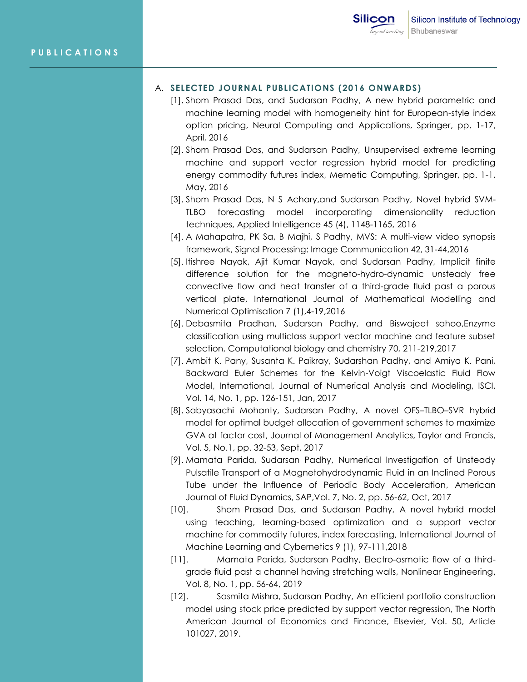## A. **SELECTED JOURNAL PUBLICATIONS (2016 ONWARDS)**

- [1]. Shom Prasad Das, and Sudarsan Padhy, A new hybrid parametric and machine learning model with homogeneity hint for European-style index option pricing, Neural Computing and Applications, Springer, pp. 1-17, April, 2016
- [2]. Shom Prasad Das, and Sudarsan Padhy, Unsupervised extreme learning machine and support vector regression hybrid model for predicting energy commodity futures index, Memetic Computing, Springer, pp. 1-1, May, 2016
- [3]. Shom Prasad Das, N S Achary,and Sudarsan Padhy, Novel hybrid SVM-TLBO forecasting model incorporating dimensionality reduction techniques, Applied Intelligence 45 (4), 1148-1165, 2016
- [4]. A Mahapatra, PK Sa, B Majhi, S Padhy, MVS: A multi-view video synopsis framework, Signal Processing: Image Communication 42, 31-44,2016
- [5]. Itishree Nayak, Ajit Kumar Nayak, and Sudarsan Padhy, Implicit finite difference solution for the magneto-hydro-dynamic unsteady free convective flow and heat transfer of a third-grade fluid past a porous vertical plate, International Journal of Mathematical Modelling and Numerical Optimisation 7 (1),4-19,2016
- [6]. Debasmita Pradhan, Sudarsan Padhy, and Biswajeet sahoo,Enzyme classification using multiclass support vector machine and feature subset selection, Computational biology and chemistry 70, 211-219,2017
- [7]. Ambit K. Pany, Susanta K. Paikray, Sudarshan Padhy, and Amiya K. Pani, Backward Euler Schemes for the Kelvin-Voigt Viscoelastic Fluid Flow Model, International, Journal of Numerical Analysis and Modeling, ISCI, Vol. 14, No. 1, pp. 126-151, Jan, 2017
- [8]. Sabyasachi Mohanty, Sudarsan Padhy, A novel OFS–TLBO–SVR hybrid model for optimal budget allocation of government schemes to maximize GVA at factor cost, Journal of Management Analytics, Taylor and Francis, Vol. 5, No.1, pp. 32-53, Sept, 2017
- [9]. Mamata Parida, Sudarsan Padhy, Numerical Investigation of Unsteady Pulsatile Transport of a Magnetohydrodynamic Fluid in an Inclined Porous Tube under the Influence of Periodic Body Acceleration, American Journal of Fluid Dynamics, SAP,Vol. 7, No. 2, pp. 56-62, Oct, 2017
- [10]. Shom Prasad Das, and Sudarsan Padhy, A novel hybrid model using teaching, learning-based optimization and a support vector machine for commodity futures, index forecasting, International Journal of Machine Learning and Cybernetics 9 (1), 97-111,2018
- [11]. Mamata Parida, Sudarsan Padhy, Electro-osmotic flow of a thirdgrade fluid past a channel having stretching walls, Nonlinear Engineering, Vol. 8, No. 1, pp. 56-64, 2019
- [12]. Sasmita Mishra, Sudarsan Padhy, An efficient portfolio construction model using stock price predicted by support vector regression, The North American Journal of Economics and Finance, Elsevier, Vol. 50, Article 101027, 2019.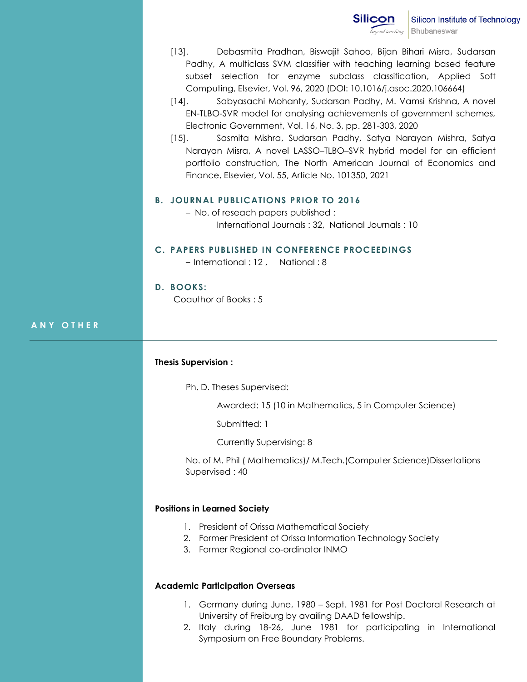- [13]. Debasmita Pradhan, Biswajit Sahoo, Bijan Bihari Misra, Sudarsan Padhy, A multiclass SVM classifier with teaching learning based feature subset selection for enzyme subclass classification, Applied Soft Computing, Elsevier, Vol. 96, 2020 (DOI: 10.1016/j.asoc.2020.106664)
- [14]. Sabyasachi Mohanty, Sudarsan Padhy, M. Vamsi Krishna, A novel EN-TLBO-SVR model for analysing achievements of government schemes, Electronic Government, Vol. 16, No. 3, pp. 281-303, 2020
- [15]. Sasmita Mishra, Sudarsan Padhy, Satya Narayan Mishra, Satya Narayan Misra, A novel LASSO–TLBO–SVR hybrid model for an efficient portfolio construction, The North American Journal of Economics and Finance, Elsevier, Vol. 55, Article No. 101350, 2021

#### **B. JOURNAL PUBLICATIONS PRIOR TO 2016**

– No. of reseach papers published : International Journals : 32, National Journals : 10

#### **C. PAPERS PUBLISHED IN CONFERENCE PROCEEDINGS**

– International : 12 , National : 8

#### **D. BOOKS:**

Coauthor of Books : 5

## **A N Y O T H E R**

## **Thesis Supervision :**

Ph. D. Theses Supervised:

Awarded: 15 (10 in Mathematics, 5 in Computer Science)

Submitted: 1

Currently Supervising: 8

No. of M. Phil ( Mathematics)/ M.Tech.(Computer Science)Dissertations Supervised : 40

## **Positions in Learned Society**

- 1. President of Orissa Mathematical Society
- 2. Former President of Orissa Information Technology Society
- 3. Former Regional co-ordinator INMO

#### **Academic Participation Overseas**

- 1. Germany during June, 1980 Sept. 1981 for Post Doctoral Research at University of Freiburg by availing DAAD fellowship.
- 2. Italy during 18-26, June 1981 for participating in International Symposium on Free Boundary Problems.